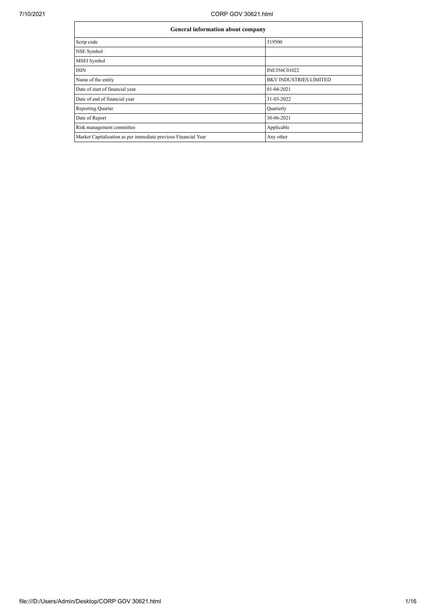| General information about company                              |                               |  |  |  |  |
|----------------------------------------------------------------|-------------------------------|--|--|--|--|
| Scrip code                                                     | 519500                        |  |  |  |  |
| NSE Symbol                                                     |                               |  |  |  |  |
| <b>MSEI</b> Symbol                                             |                               |  |  |  |  |
| <b>ISIN</b>                                                    | INE356C01022                  |  |  |  |  |
| Name of the entity                                             | <b>BKV INDUSTRIES LIMITED</b> |  |  |  |  |
| Date of start of financial year                                | 01-04-2021                    |  |  |  |  |
| Date of end of financial year                                  | 31-03-2022                    |  |  |  |  |
| <b>Reporting Quarter</b>                                       | Quarterly                     |  |  |  |  |
| Date of Report                                                 | 30-06-2021                    |  |  |  |  |
| Risk management committee                                      | Applicable                    |  |  |  |  |
| Market Capitalisation as per immediate previous Financial Year | Any other                     |  |  |  |  |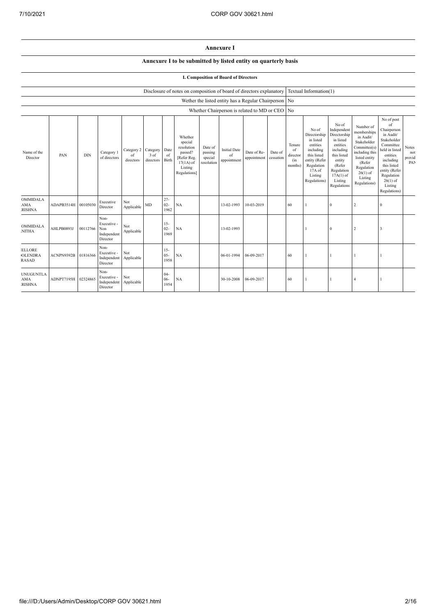## **Annexure I**

## **Annexure I to be submitted by listed entity on quarterly basis**

## **I. Composition of Board of Directors**

|                                                 | Disclosure of notes on composition of board of directors explanatory |            |                                                       |                                        |                   |                          |                                                                                                      |                                             | Textual Information(1)                   |                                                |                      |                                            |                                                                                                                                                |                                                                                                                                                                      |                                                                                                                                                                          |                                                                                                                                                                                                            |                               |
|-------------------------------------------------|----------------------------------------------------------------------|------------|-------------------------------------------------------|----------------------------------------|-------------------|--------------------------|------------------------------------------------------------------------------------------------------|---------------------------------------------|------------------------------------------|------------------------------------------------|----------------------|--------------------------------------------|------------------------------------------------------------------------------------------------------------------------------------------------|----------------------------------------------------------------------------------------------------------------------------------------------------------------------|--------------------------------------------------------------------------------------------------------------------------------------------------------------------------|------------------------------------------------------------------------------------------------------------------------------------------------------------------------------------------------------------|-------------------------------|
|                                                 | Wether the listed entity has a Regular Chairperson No                |            |                                                       |                                        |                   |                          |                                                                                                      |                                             |                                          |                                                |                      |                                            |                                                                                                                                                |                                                                                                                                                                      |                                                                                                                                                                          |                                                                                                                                                                                                            |                               |
|                                                 |                                                                      |            |                                                       |                                        |                   |                          |                                                                                                      |                                             |                                          | Whether Chairperson is related to MD or CEO No |                      |                                            |                                                                                                                                                |                                                                                                                                                                      |                                                                                                                                                                          |                                                                                                                                                                                                            |                               |
| Name of the<br>Director                         | PAN                                                                  | <b>DIN</b> | Category 1<br>of directors                            | Category 2 Category<br>of<br>directors | 3 of<br>directors | Date<br>of<br>Birth      | Whether<br>special<br>resolution<br>passed?<br>[Refer Reg.<br>$17(1A)$ of<br>Listing<br>Regulations] | Date of<br>passing<br>special<br>resolution | <b>Initial Date</b><br>of<br>appointment | Date of Re-<br>appointment                     | Date of<br>cessation | Tenure<br>of<br>director<br>(in<br>months) | No of<br>Directorship<br>in listed<br>entities<br>including<br>this listed<br>entity (Refer<br>Regulation<br>17A of<br>Listing<br>Regulations) | No of<br>Independent<br>Directorship<br>in listed<br>entities<br>including<br>this listed<br>entity<br>(Refer<br>Regulation<br>$17A(1)$ of<br>Listing<br>Regulations | Number of<br>memberships<br>in Audit/<br>Stakeholder<br>Committee(s)<br>including this<br>listed entity<br>(Refer<br>Regulation<br>$26(1)$ of<br>Listing<br>Regulations) | No of post<br>of<br>Chairperson<br>in Audit/<br>Stakeholder<br>Committee<br>held in listed<br>entities<br>including<br>this listed<br>entity (Refer<br>Regulation<br>$26(1)$ of<br>Listing<br>Regulations) | Notes<br>not<br>provid<br>PAN |
| OMMIDALA<br><b>AMA</b><br><b>RISHNA</b>         | ADAPB3514H                                                           | 00105030   | Executive<br>Director                                 | Not<br>Applicable                      | MD                | $27 -$<br>$02 -$<br>1962 | NA                                                                                                   |                                             | 13-02-1993                               | 10-03-2019                                     |                      | 60                                         |                                                                                                                                                | $\theta$                                                                                                                                                             | $\overline{\phantom{a}}$                                                                                                                                                 | $\Omega$                                                                                                                                                                                                   |                               |
| <b>OMMIDALA</b><br><b>NITHA</b>                 | AHLPB0893J                                                           | 00112766   | Non-<br>Executive -<br>Non<br>Independent<br>Director | Not<br>Applicable                      |                   | $15 -$<br>$02 -$<br>1969 | NA                                                                                                   |                                             | 13-02-1993                               |                                                |                      |                                            | -1                                                                                                                                             | $\Omega$                                                                                                                                                             | $\overline{2}$                                                                                                                                                           | 3                                                                                                                                                                                                          |                               |
| <b>ELLORE</b><br><b>OLENDRA</b><br><b>RASAD</b> | ACNPN9392B                                                           | 01816366   | Non-<br>Executive -<br>Independent<br>Director        | Not<br>Applicable                      |                   | $15 -$<br>$05 -$<br>1958 | NA                                                                                                   |                                             | 06-01-1994                               | 06-09-2017                                     |                      | 60                                         |                                                                                                                                                |                                                                                                                                                                      |                                                                                                                                                                          | $\mathbf{I}$                                                                                                                                                                                               |                               |
| <b>UNUGUNTLA</b><br><b>AMA</b><br><b>RISHNA</b> | ADNPT7195H                                                           | 02324865   | Non-<br>Executive -<br>Independent<br>Director        | Not<br>Applicable                      |                   | $04 -$<br>06-<br>1954    | NA                                                                                                   |                                             | 30-10-2008                               | 06-09-2017                                     |                      | 60                                         |                                                                                                                                                |                                                                                                                                                                      |                                                                                                                                                                          |                                                                                                                                                                                                            |                               |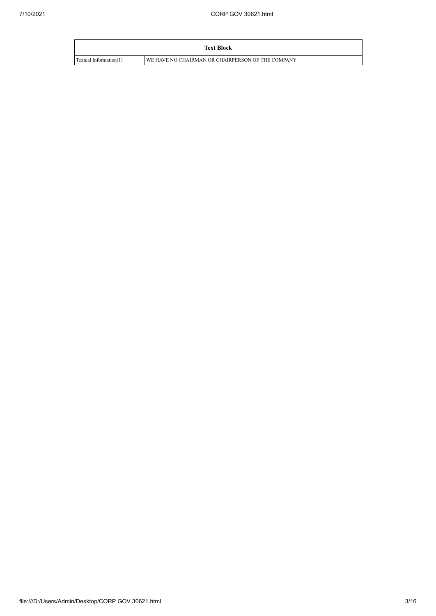|                        | <b>Text Block</b>                                 |
|------------------------|---------------------------------------------------|
| Textual Information(1) | WE HAVE NO CHAIRMAN OR CHAIRPERSON OF THE COMPANY |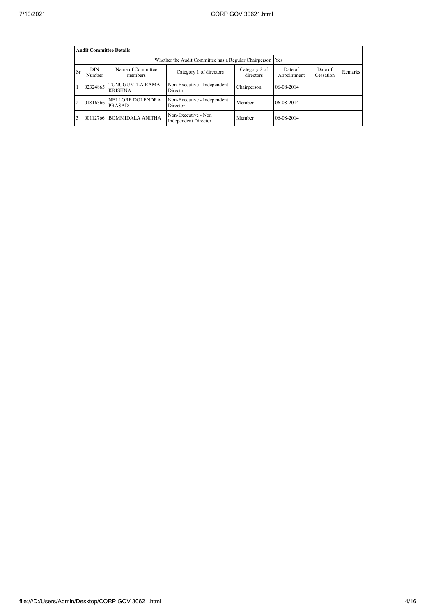|                | <b>Audit Committee Details</b> |                                   |                                                             |             |                        |                      |         |  |  |  |  |
|----------------|--------------------------------|-----------------------------------|-------------------------------------------------------------|-------------|------------------------|----------------------|---------|--|--|--|--|
|                |                                |                                   | Whether the Audit Committee has a Regular Chairperson   Yes |             |                        |                      |         |  |  |  |  |
| Sr             | <b>DIN</b><br>Number           | Name of Committee<br>members      | Category 2 of<br>Category 1 of directors<br>directors       |             | Date of<br>Appointment | Date of<br>Cessation | Remarks |  |  |  |  |
|                | 02324865                       | TUNUGUNTLA RAMA<br><b>KRISHNA</b> | Non-Executive - Independent<br>Director                     | Chairperson | 06-08-2014             |                      |         |  |  |  |  |
| $\overline{c}$ | 01816366                       | NELLORE DOLENDRA<br>PRASAD        | Non-Executive - Independent<br>Director                     | Member      | 06-08-2014             |                      |         |  |  |  |  |
| 3              | 00112766                       | <b>BOMMIDALA ANITHA</b>           | Non-Executive - Non<br><b>Independent Director</b>          | Member      | 06-08-2014             |                      |         |  |  |  |  |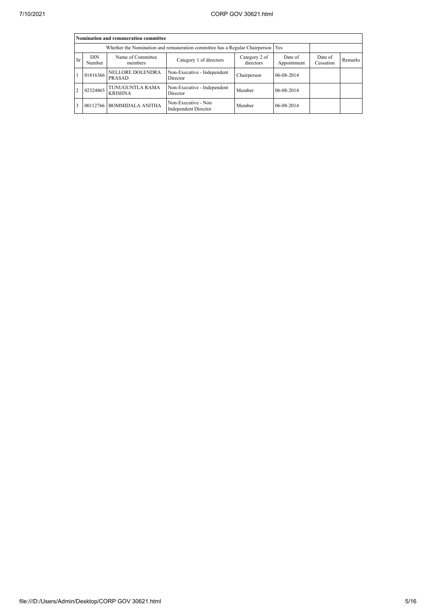|                | Nomination and remuneration committee |                                                                                       |                                                                                   |                        |                      |         |  |  |  |  |
|----------------|---------------------------------------|---------------------------------------------------------------------------------------|-----------------------------------------------------------------------------------|------------------------|----------------------|---------|--|--|--|--|
|                |                                       |                                                                                       | Whether the Nomination and remuneration committee has a Regular Chairperson   Yes |                        |                      |         |  |  |  |  |
| <b>Sr</b>      | <b>DIN</b><br>Number                  | Name of Committee<br>Category 2 of<br>Category 1 of directors<br>directors<br>members |                                                                                   | Date of<br>Appointment | Date of<br>Cessation | Remarks |  |  |  |  |
|                | 01816366                              | NELLORE DOLENDRA<br>PRASAD                                                            | Non-Executive - Independent<br>Director                                           | Chairperson            | 06-08-2014           |         |  |  |  |  |
| $\overline{2}$ | 02324865                              | TUNUGUNTLA RAMA<br><b>KRISHNA</b>                                                     | Non-Executive - Independent<br>Director                                           | Member                 | 06-08-2014           |         |  |  |  |  |
| $\overline{3}$ | 00112766                              | <b>BOMMIDALA ANITHA</b>                                                               | Non-Executive - Non<br><b>Independent Director</b>                                | Member                 | 06-08-2014           |         |  |  |  |  |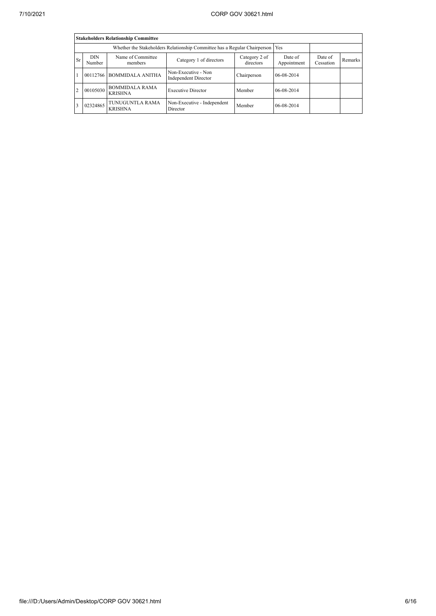|                | <b>Stakeholders Relationship Committee</b> |                                                                                       |                                             |                        |                      |         |  |  |  |  |
|----------------|--------------------------------------------|---------------------------------------------------------------------------------------|---------------------------------------------|------------------------|----------------------|---------|--|--|--|--|
|                |                                            | Whether the Stakeholders Relationship Committee has a Regular Chairperson   Yes       |                                             |                        |                      |         |  |  |  |  |
| <b>Sr</b>      | <b>DIN</b><br>Number                       | Name of Committee<br>Category 2 of<br>Category 1 of directors<br>directors<br>members |                                             | Date of<br>Appointment | Date of<br>Cessation | Remarks |  |  |  |  |
| $\mathbf{1}$   | 00112766                                   | <b>BOMMIDALA ANITHA</b>                                                               | Non-Executive - Non<br>Independent Director | Chairperson            | 06-08-2014           |         |  |  |  |  |
| $\overline{2}$ | 00105030                                   | <b>BOMMIDALA RAMA</b><br><b>KRISHNA</b>                                               | <b>Executive Director</b>                   | Member                 | 06-08-2014           |         |  |  |  |  |
| 3              | 02324865                                   | TUNUGUNTLA RAMA<br><b>KRISHNA</b>                                                     | Non-Executive - Independent<br>Director     | Member                 | 06-08-2014           |         |  |  |  |  |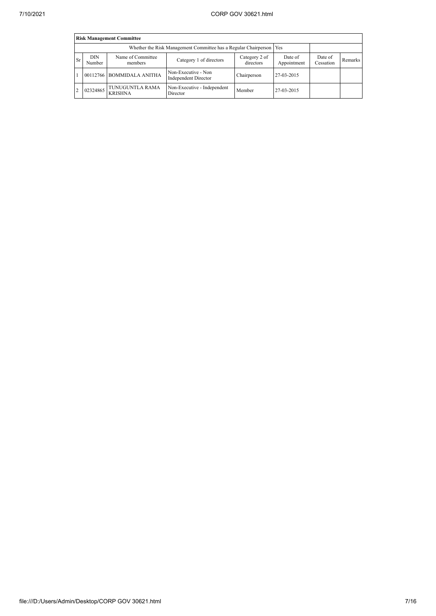|                | <b>Risk Management Committee</b> |                                   |                                                                     |                            |                        |                      |         |  |  |  |
|----------------|----------------------------------|-----------------------------------|---------------------------------------------------------------------|----------------------------|------------------------|----------------------|---------|--|--|--|
|                |                                  |                                   | Whether the Risk Management Committee has a Regular Chairperson Yes |                            |                        |                      |         |  |  |  |
| <b>Sr</b>      | <b>DIN</b><br>Number             | Name of Committee<br>members      | Category 1 of directors                                             | Category 2 of<br>directors | Date of<br>Appointment | Date of<br>Cessation | Remarks |  |  |  |
|                |                                  | 00112766 BOMMIDALA ANITHA         | Non-Executive - Non<br>Independent Director                         | Chairperson                | 27-03-2015             |                      |         |  |  |  |
| $\overline{2}$ | 02324865                         | TUNUGUNTLA RAMA<br><b>KRISHNA</b> | Non-Executive - Independent<br>Director                             | Member                     | 27-03-2015             |                      |         |  |  |  |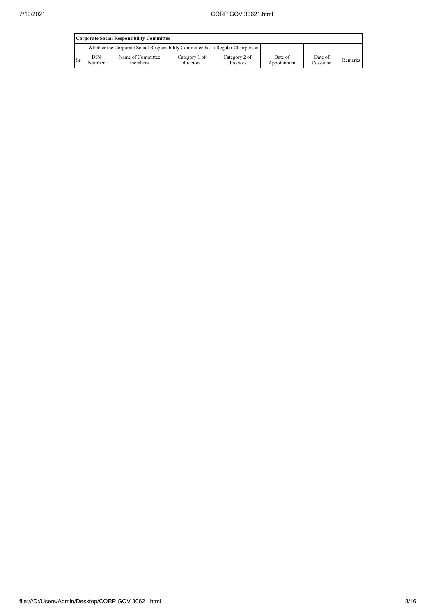|      | <b>Corporate Social Responsibility Committee</b> |                                                                                 |                            |                            |                        |                      |         |  |  |
|------|--------------------------------------------------|---------------------------------------------------------------------------------|----------------------------|----------------------------|------------------------|----------------------|---------|--|--|
|      |                                                  | Whether the Corporate Social Responsibility Committee has a Regular Chairperson |                            |                            |                        |                      |         |  |  |
| l Sr | DIN<br>Number                                    | Name of Committee<br>members                                                    | Category 1 of<br>directors | Category 2 of<br>directors | Date of<br>Appointment | Date of<br>Cessation | Remarks |  |  |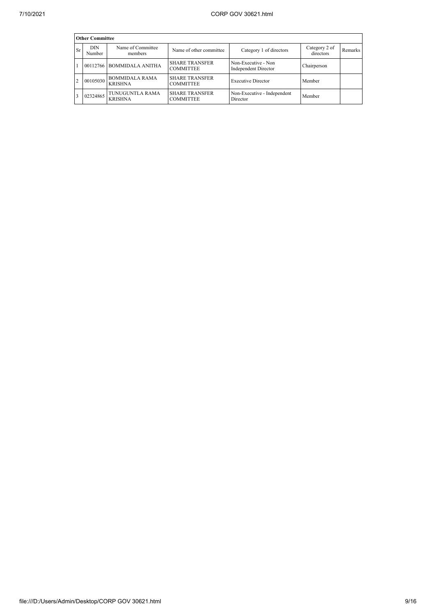|                | <b>Other Committee</b> |                                         |                                           |                                             |                            |         |  |  |  |
|----------------|------------------------|-----------------------------------------|-------------------------------------------|---------------------------------------------|----------------------------|---------|--|--|--|
| <b>Sr</b>      | <b>DIN</b><br>Number   | Name of Committee<br>members            | Name of other committee                   | Category 1 of directors                     | Category 2 of<br>directors | Remarks |  |  |  |
|                |                        | 00112766 BOMMIDALA ANITHA               | <b>SHARE TRANSFER</b><br><b>COMMITTEE</b> | Non-Executive - Non<br>Independent Director | Chairperson                |         |  |  |  |
| $\overline{2}$ | 00105030               | <b>BOMMIDALA RAMA</b><br><b>KRISHNA</b> | <b>SHARE TRANSFER</b><br><b>COMMITTEE</b> | <b>Executive Director</b>                   | Member                     |         |  |  |  |
|                | 02324865               | TUNUGUNTLA RAMA<br><b>KRISHNA</b>       | <b>SHARE TRANSFER</b><br><b>COMMITTEE</b> | Non-Executive - Independent<br>Director     | Member                     |         |  |  |  |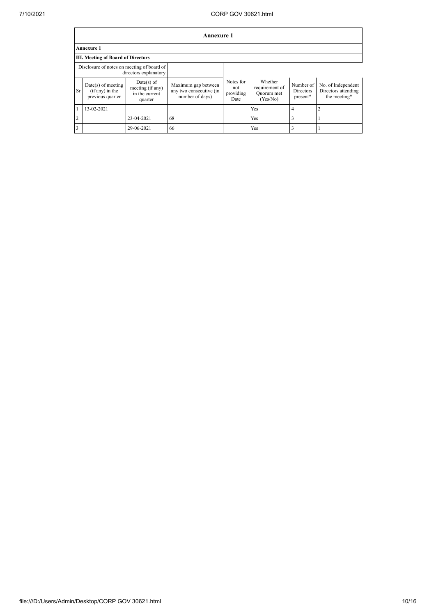|                | Annexure 1                                                  |                                                               |                                                                   |                                       |                                                     |                                    |                                                           |  |
|----------------|-------------------------------------------------------------|---------------------------------------------------------------|-------------------------------------------------------------------|---------------------------------------|-----------------------------------------------------|------------------------------------|-----------------------------------------------------------|--|
|                | <b>Annexure 1</b>                                           |                                                               |                                                                   |                                       |                                                     |                                    |                                                           |  |
|                | <b>III. Meeting of Board of Directors</b>                   |                                                               |                                                                   |                                       |                                                     |                                    |                                                           |  |
|                | Disclosure of notes on meeting of board of                  | directors explanatory                                         |                                                                   |                                       |                                                     |                                    |                                                           |  |
| <b>Sr</b>      | $Date(s)$ of meeting<br>(if any) in the<br>previous quarter | $Date(s)$ of<br>meeting (if any)<br>in the current<br>quarter | Maximum gap between<br>any two consecutive (in<br>number of days) | Notes for<br>not<br>providing<br>Date | Whether<br>requirement of<br>Quorum met<br>(Yes/No) | Number of<br>Directors<br>present* | No. of Independent<br>Directors attending<br>the meeting* |  |
| $\mathbf{1}$   | 13-02-2021                                                  |                                                               |                                                                   |                                       | <b>Yes</b>                                          | 4                                  |                                                           |  |
| $\overline{2}$ |                                                             | 23-04-2021                                                    | 68                                                                |                                       | Yes                                                 | 3                                  |                                                           |  |
| $\vert$ 3      |                                                             | 29-06-2021                                                    | 66                                                                |                                       | Yes                                                 |                                    |                                                           |  |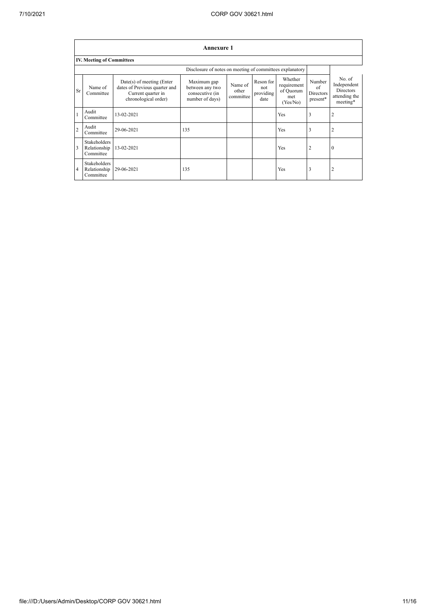|                | <b>Annexure 1</b>                                |                                                                                                            |                                                                      |                               |                                       |                                                        |                                       |                                                                        |  |  |
|----------------|--------------------------------------------------|------------------------------------------------------------------------------------------------------------|----------------------------------------------------------------------|-------------------------------|---------------------------------------|--------------------------------------------------------|---------------------------------------|------------------------------------------------------------------------|--|--|
|                | <b>IV. Meeting of Committees</b>                 |                                                                                                            |                                                                      |                               |                                       |                                                        |                                       |                                                                        |  |  |
|                |                                                  |                                                                                                            | Disclosure of notes on meeting of committees explanatory             |                               |                                       |                                                        |                                       |                                                                        |  |  |
| Sr             | Name of<br>Committee                             | $Date(s)$ of meeting (Enter<br>dates of Previous quarter and<br>Current quarter in<br>chronological order) | Maximum gap<br>between any two<br>consecutive (in<br>number of days) | Name of<br>other<br>committee | Reson for<br>not<br>providing<br>date | Whether<br>requirement<br>of Quorum<br>met<br>(Yes/No) | Number<br>of<br>Directors<br>present* | No. of<br>Independent<br><b>Directors</b><br>attending the<br>meeting* |  |  |
| $\mathbf{1}$   | Audit<br>Committee                               | 13-02-2021                                                                                                 |                                                                      |                               |                                       | <b>Yes</b>                                             | 3                                     | 2                                                                      |  |  |
| $\overline{2}$ | Audit<br>Committee                               | 29-06-2021                                                                                                 | 135                                                                  |                               |                                       | <b>Yes</b>                                             | 3                                     |                                                                        |  |  |
| 3              | <b>Stakeholders</b><br>Relationship<br>Committee | 13-02-2021                                                                                                 |                                                                      |                               |                                       | <b>Yes</b>                                             | 2                                     | $\theta$                                                               |  |  |
| 4              | <b>Stakeholders</b><br>Relationship<br>Committee | 29-06-2021                                                                                                 | 135                                                                  |                               |                                       | Yes                                                    | 3                                     |                                                                        |  |  |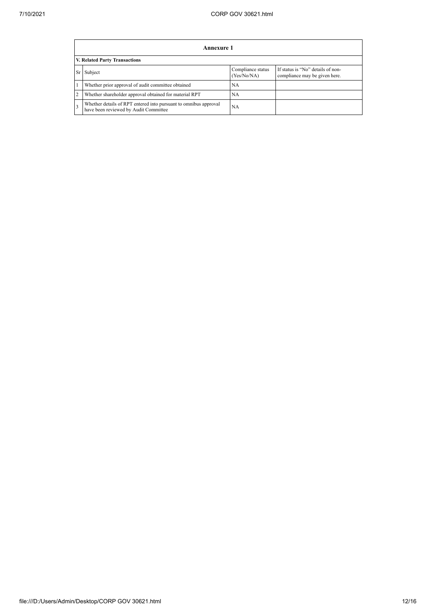|                | Annexure 1                                                                                                |                                  |                                                                    |  |  |  |  |  |  |
|----------------|-----------------------------------------------------------------------------------------------------------|----------------------------------|--------------------------------------------------------------------|--|--|--|--|--|--|
|                | V. Related Party Transactions                                                                             |                                  |                                                                    |  |  |  |  |  |  |
|                | Subject                                                                                                   | Compliance status<br>(Yes/No/NA) | If status is "No" details of non-<br>compliance may be given here. |  |  |  |  |  |  |
|                | Whether prior approval of audit committee obtained                                                        | NA                               |                                                                    |  |  |  |  |  |  |
| $\overline{2}$ | Whether shareholder approval obtained for material RPT                                                    | <b>NA</b>                        |                                                                    |  |  |  |  |  |  |
|                | Whether details of RPT entered into pursuant to omnibus approval<br>have been reviewed by Audit Committee | NA                               |                                                                    |  |  |  |  |  |  |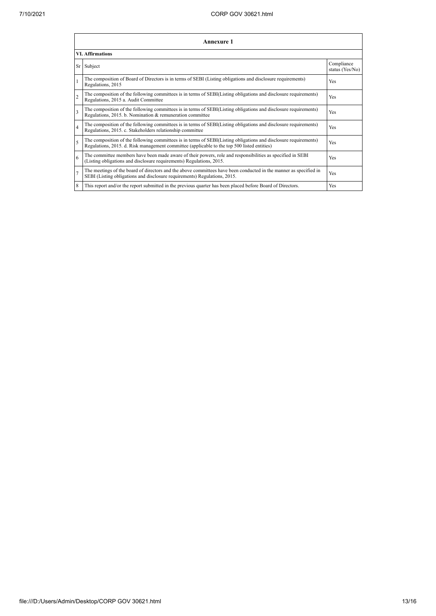|                          | <b>Annexure 1</b>                                                                                                                                                                                               |                               |  |  |  |
|--------------------------|-----------------------------------------------------------------------------------------------------------------------------------------------------------------------------------------------------------------|-------------------------------|--|--|--|
| <b>VI. Affirmations</b>  |                                                                                                                                                                                                                 |                               |  |  |  |
|                          | Sr Subject                                                                                                                                                                                                      | Compliance<br>status (Yes/No) |  |  |  |
| $\mathbf{1}$             | The composition of Board of Directors is in terms of SEBI (Listing obligations and disclosure requirements)<br>Regulations, 2015                                                                                | <b>Yes</b>                    |  |  |  |
| $\overline{c}$           | The composition of the following committees is in terms of SEBI(Listing obligations and disclosure requirements)<br>Regulations, 2015 a. Audit Committee                                                        | <b>Yes</b>                    |  |  |  |
| $\mathbf{3}$             | The composition of the following committees is in terms of SEBI(Listing obligations and disclosure requirements)<br>Regulations, 2015. b. Nomination & remuneration committee                                   | <b>Yes</b>                    |  |  |  |
| $\overline{4}$           | The composition of the following committees is in terms of SEBI(Listing obligations and disclosure requirements)<br>Regulations, 2015. c. Stakeholders relationship committee                                   | <b>Yes</b>                    |  |  |  |
| $\overline{\phantom{0}}$ | The composition of the following committees is in terms of SEBI(Listing obligations and disclosure requirements)<br>Regulations, 2015. d. Risk management committee (applicable to the top 500 listed entities) | Yes                           |  |  |  |
| 6                        | The committee members have been made aware of their powers, role and responsibilities as specified in SEBI<br>(Listing obligations and disclosure requirements) Regulations, 2015.                              | <b>Yes</b>                    |  |  |  |
| $\overline{7}$           | The meetings of the board of directors and the above committees have been conducted in the manner as specified in<br>SEBI (Listing obligations and disclosure requirements) Regulations, 2015.                  | Yes                           |  |  |  |
| 8                        | This report and/or the report submitted in the previous quarter has been placed before Board of Directors.                                                                                                      | Yes                           |  |  |  |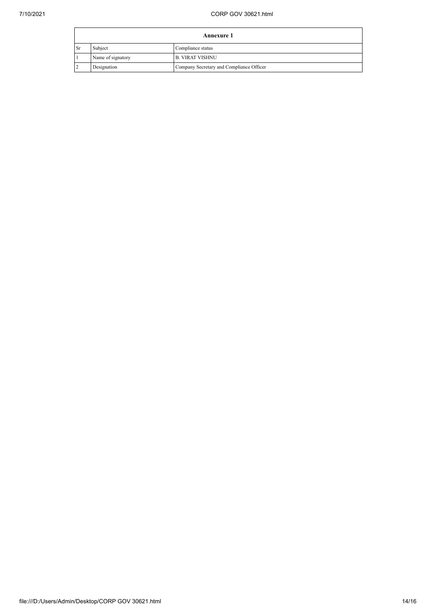|           | <b>Annexure 1</b> |                                          |  |
|-----------|-------------------|------------------------------------------|--|
| <b>Sr</b> | Subject           | Compliance status                        |  |
|           | Name of signatory | <b>B. VIRAT VISHNU</b>                   |  |
|           | Designation       | Company Secretary and Compliance Officer |  |